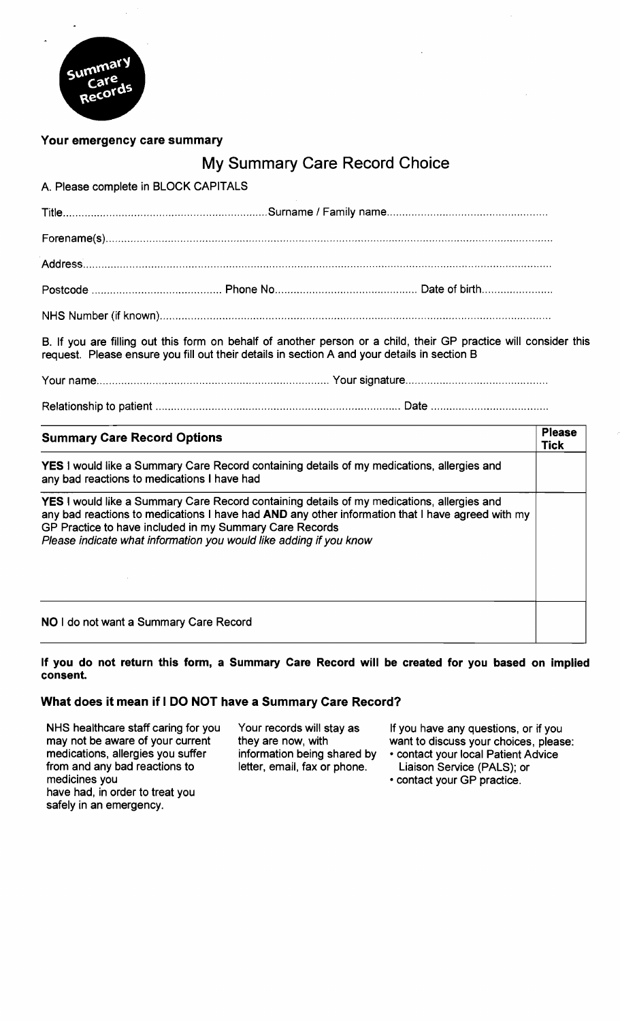

## **Your emergency care summary**

# My Summary Care Record Choice

A. Please complete in BLOCK CAPITALS

B. If you are filling out this form on behalf of another person or a child, their GP practice will consider this request. Please ensure you fill out their details in section A and your details in section B

Your name ........................................................................... Your signature ..............................................

Relationship to patient ............................................................................... Date .....................................

| <b>Summary Care Record Options</b>                                                                                                                                                                                                                                                                                                     |  |
|----------------------------------------------------------------------------------------------------------------------------------------------------------------------------------------------------------------------------------------------------------------------------------------------------------------------------------------|--|
| <b>YES</b> I would like a Summary Care Record containing details of my medications, allergies and<br>any bad reactions to medications I have had                                                                                                                                                                                       |  |
| <b>YES</b> I would like a Summary Care Record containing details of my medications, allergies and<br>any bad reactions to medications I have had AND any other information that I have agreed with my<br>GP Practice to have included in my Summary Care Records<br>Please indicate what information you would like adding if you know |  |
| NO I do not want a Summary Care Record                                                                                                                                                                                                                                                                                                 |  |

### **If you do not return this form, a Summary Care Record will be created for you based on implied consent.**

## **What does it mean if I DO NOT have a Summary Care Record?**

may not be aware of your current they are now, with want to discuss your choices, please:<br>medications, allergies you suffer information being shared by · contact your local Patient Advice from and any bad reactions to letter, email, fax or phone. Liaison Service (PALS); or medicines you contact your GP practice. have had, in order to treat you safely in an emergency.

NHS healthcare staff caring for you Your records will stay as If you have any questions, or if you may not be aware of your current they are now, with want to discuss your choices, pleas

- information being shared by contact your local Patient Advice<br>letter, email, fax or phone. Liaison Service (PALS); or
	-